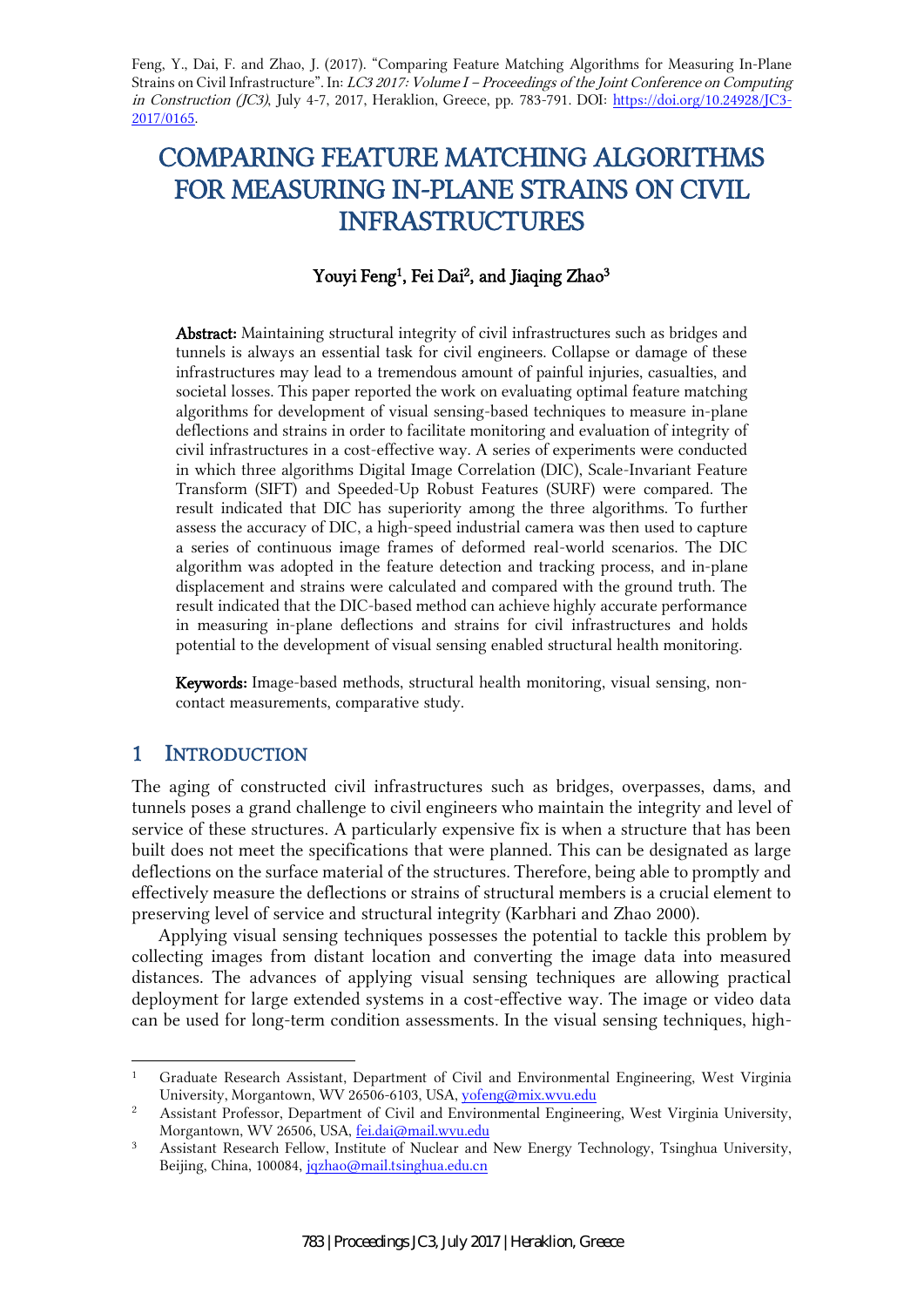Feng, Y., Dai, F. and Zhao, J. (2017). "Comparing Feature Matching Algorithms for Measuring In-Plane Strains on Civil Infrastructure". In: LC3 2017: Volume I – Proceedings of the Joint Conference on Computing in Construction (JC3), July 4-7, 2017, Heraklion, Greece, pp. 783-791. DOI: https://doi.org/10.24928/JC3- 2017/0165.

# COMPARING FEATURE MATCHING ALGORITHMS FOR MEASURING IN-PLANE STRAINS ON CIVIL INFRASTRUCTURES

### Youyi Feng<sup>1</sup>, Fei Dai<sup>2</sup>, and Jiaqing Zhao<sup>3</sup>

Abstract: Maintaining structural integrity of civil infrastructures such as bridges and tunnels is always an essential task for civil engineers. Collapse or damage of these infrastructures may lead to a tremendous amount of painful injuries, casualties, and societal losses. This paper reported the work on evaluating optimal feature matching algorithms for development of visual sensing-based techniques to measure in-plane deflections and strains in order to facilitate monitoring and evaluation of integrity of civil infrastructures in a cost-effective way. A series of experiments were conducted in which three algorithms Digital Image Correlation (DIC), Scale-Invariant Feature Transform (SIFT) and Speeded-Up Robust Features (SURF) were compared. The result indicated that DIC has superiority among the three algorithms. To further assess the accuracy of DIC, a high-speed industrial camera was then used to capture a series of continuous image frames of deformed real-world scenarios. The DIC algorithm was adopted in the feature detection and tracking process, and in-plane displacement and strains were calculated and compared with the ground truth. The result indicated that the DIC-based method can achieve highly accurate performance in measuring in-plane deflections and strains for civil infrastructures and holds potential to the development of visual sensing enabled structural health monitoring.

Keywords: Image-based methods, structural health monitoring, visual sensing, noncontact measurements, comparative study.

## 1 INTRODUCTION

-

The aging of constructed civil infrastructures such as bridges, overpasses, dams, and tunnels poses a grand challenge to civil engineers who maintain the integrity and level of service of these structures. A particularly expensive fix is when a structure that has been built does not meet the specifications that were planned. This can be designated as large deflections on the surface material of the structures. Therefore, being able to promptly and effectively measure the deflections or strains of structural members is a crucial element to preserving level of service and structural integrity (Karbhari and Zhao 2000).

Applying visual sensing techniques possesses the potential to tackle this problem by collecting images from distant location and converting the image data into measured distances. The advances of applying visual sensing techniques are allowing practical deployment for large extended systems in a cost-effective way. The image or video data can be used for long-term condition assessments. In the visual sensing techniques, high-

<sup>&</sup>lt;sup>1</sup> Graduate Research Assistant, Department of Civil and Environmental Engineering, West Virginia University, Morgantown, WV 26506-6103, USA, yofeng@mix.wvu.edu

<sup>2</sup> Assistant Professor, Department of Civil and Environmental Engineering, West Virginia University, Morgantown, WV 26506, USA, fei.dai@mail.wvu.edu

<sup>&</sup>lt;sup>3</sup> Assistant Research Fellow, Institute of Nuclear and New Energy Technology, Tsinghua University, Beijing, China, 100084, jqzhao@mail.tsinghua.edu.cn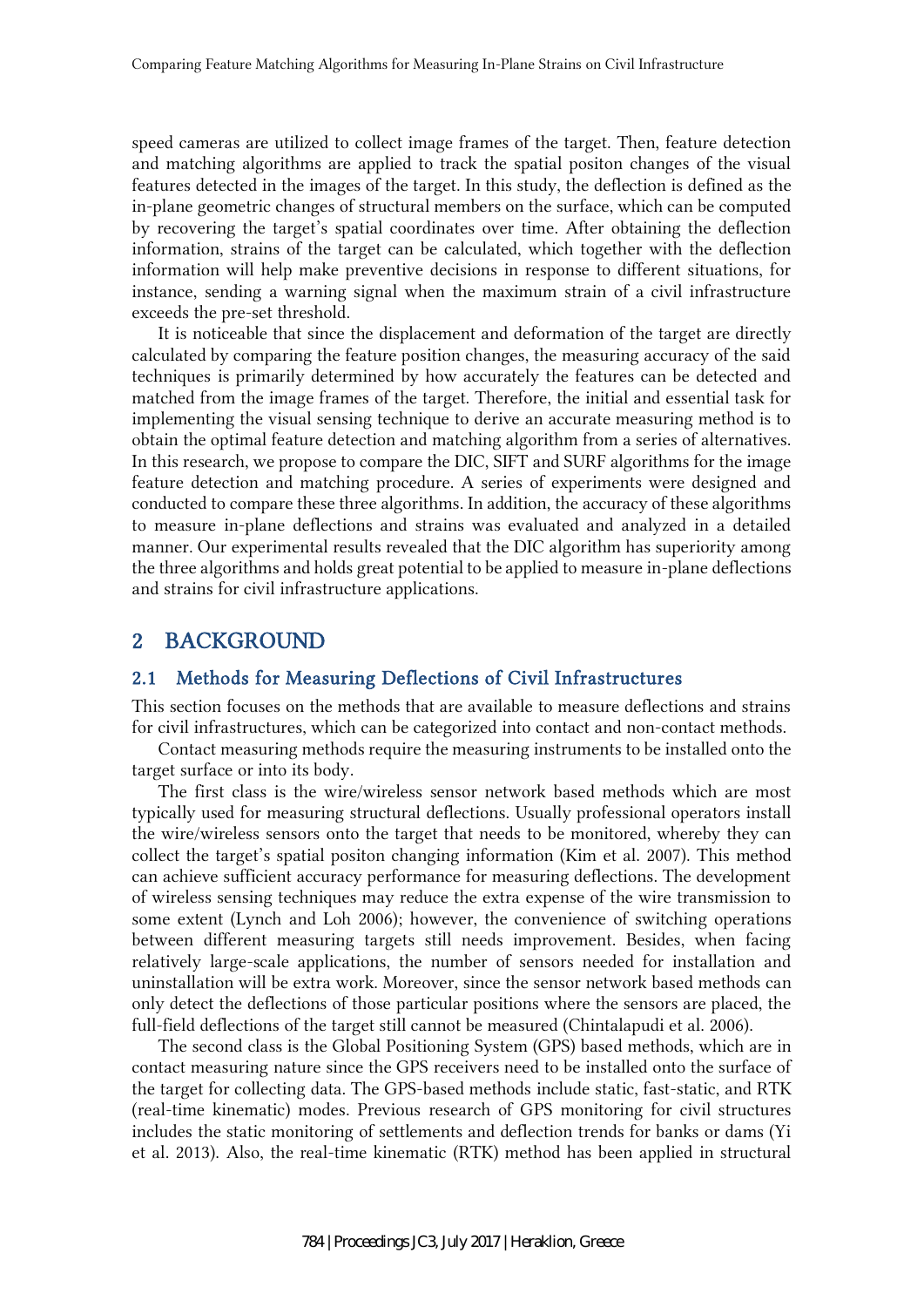speed cameras are utilized to collect image frames of the target. Then, feature detection and matching algorithms are applied to track the spatial positon changes of the visual features detected in the images of the target. In this study, the deflection is defined as the in-plane geometric changes of structural members on the surface, which can be computed by recovering the target's spatial coordinates over time. After obtaining the deflection information, strains of the target can be calculated, which together with the deflection information will help make preventive decisions in response to different situations, for instance, sending a warning signal when the maximum strain of a civil infrastructure exceeds the pre-set threshold.

It is noticeable that since the displacement and deformation of the target are directly calculated by comparing the feature position changes, the measuring accuracy of the said techniques is primarily determined by how accurately the features can be detected and matched from the image frames of the target. Therefore, the initial and essential task for implementing the visual sensing technique to derive an accurate measuring method is to obtain the optimal feature detection and matching algorithm from a series of alternatives. In this research, we propose to compare the DIC, SIFT and SURF algorithms for the image feature detection and matching procedure. A series of experiments were designed and conducted to compare these three algorithms. In addition, the accuracy of these algorithms to measure in-plane deflections and strains was evaluated and analyzed in a detailed manner. Our experimental results revealed that the DIC algorithm has superiority among the three algorithms and holds great potential to be applied to measure in-plane deflections and strains for civil infrastructure applications.

#### 2 BACKGROUND

#### 2.1 Methods for Measuring Deflections of Civil Infrastructures

This section focuses on the methods that are available to measure deflections and strains for civil infrastructures, which can be categorized into contact and non-contact methods.

Contact measuring methods require the measuring instruments to be installed onto the target surface or into its body.

The first class is the wire/wireless sensor network based methods which are most typically used for measuring structural deflections. Usually professional operators install the wire/wireless sensors onto the target that needs to be monitored, whereby they can collect the target's spatial positon changing information (Kim et al. 2007). This method can achieve sufficient accuracy performance for measuring deflections. The development of wireless sensing techniques may reduce the extra expense of the wire transmission to some extent (Lynch and Loh 2006); however, the convenience of switching operations between different measuring targets still needs improvement. Besides, when facing relatively large-scale applications, the number of sensors needed for installation and uninstallation will be extra work. Moreover, since the sensor network based methods can only detect the deflections of those particular positions where the sensors are placed, the full-field deflections of the target still cannot be measured (Chintalapudi et al. 2006).

The second class is the Global Positioning System (GPS) based methods, which are in contact measuring nature since the GPS receivers need to be installed onto the surface of the target for collecting data. The GPS-based methods include static, fast-static, and RTK (real-time kinematic) modes. Previous research of GPS monitoring for civil structures includes the static monitoring of settlements and deflection trends for banks or dams (Yi et al. 2013). Also, the real-time kinematic (RTK) method has been applied in structural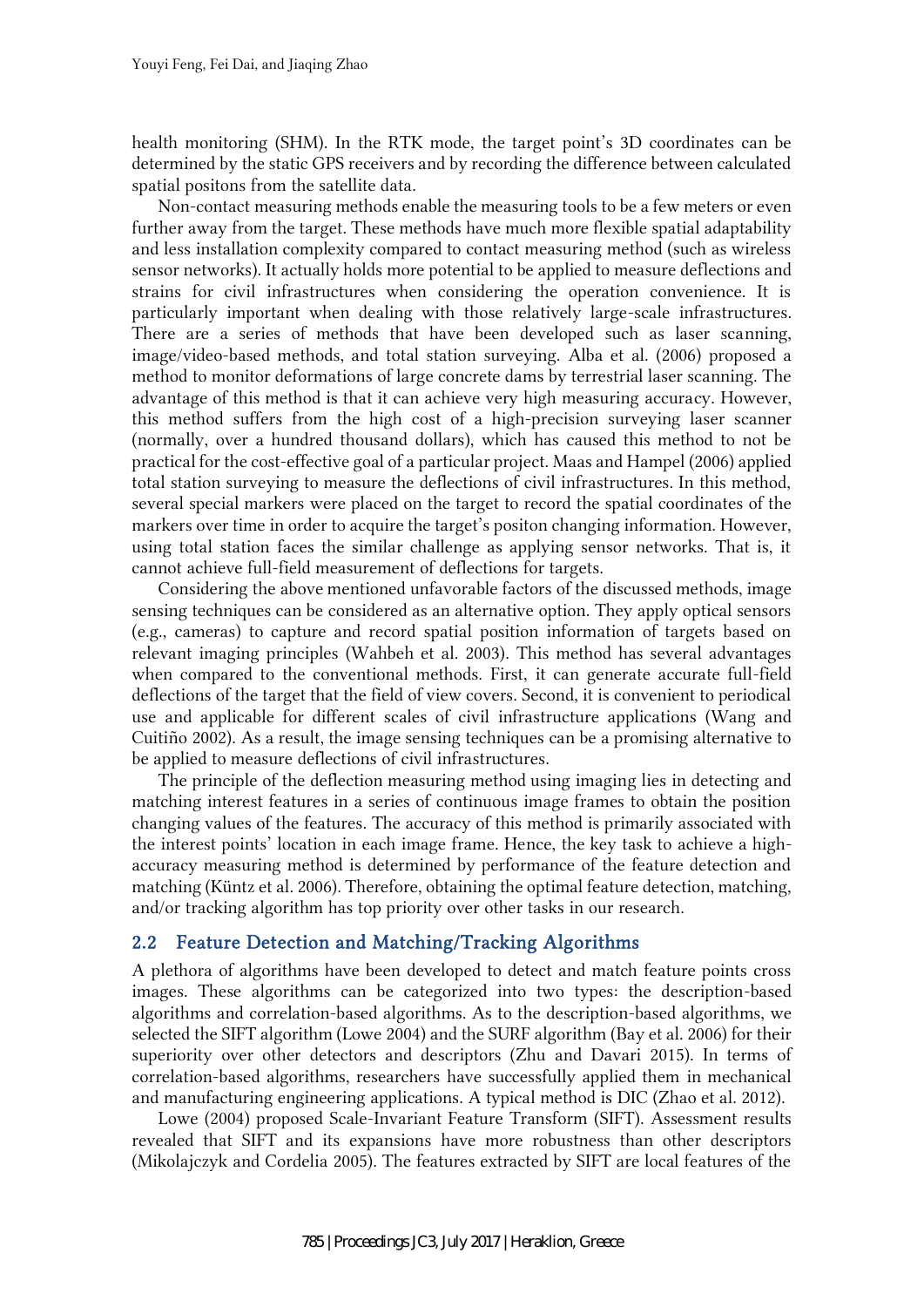health monitoring (SHM). In the RTK mode, the target point's 3D coordinates can be determined by the static GPS receivers and by recording the difference between calculated spatial positons from the satellite data.

Non-contact measuring methods enable the measuring tools to be a few meters or even further away from the target. These methods have much more flexible spatial adaptability and less installation complexity compared to contact measuring method (such as wireless sensor networks). It actually holds more potential to be applied to measure deflections and strains for civil infrastructures when considering the operation convenience. It is particularly important when dealing with those relatively large-scale infrastructures. There are a series of methods that have been developed such as laser scanning, image/video-based methods, and total station surveying. Alba et al. (2006) proposed a method to monitor deformations of large concrete dams by terrestrial laser scanning. The advantage of this method is that it can achieve very high measuring accuracy. However, this method suffers from the high cost of a high-precision surveying laser scanner (normally, over a hundred thousand dollars), which has caused this method to not be practical for the cost-effective goal of a particular project. Maas and Hampel (2006) applied total station surveying to measure the deflections of civil infrastructures. In this method, several special markers were placed on the target to record the spatial coordinates of the markers over time in order to acquire the target's positon changing information. However, using total station faces the similar challenge as applying sensor networks. That is, it cannot achieve full-field measurement of deflections for targets.

Considering the above mentioned unfavorable factors of the discussed methods, image sensing techniques can be considered as an alternative option. They apply optical sensors (e.g., cameras) to capture and record spatial position information of targets based on relevant imaging principles (Wahbeh et al. 2003). This method has several advantages when compared to the conventional methods. First, it can generate accurate full-field deflections of the target that the field of view covers. Second, it is convenient to periodical use and applicable for different scales of civil infrastructure applications (Wang and Cuitiño 2002). As a result, the image sensing techniques can be a promising alternative to be applied to measure deflections of civil infrastructures.

The principle of the deflection measuring method using imaging lies in detecting and matching interest features in a series of continuous image frames to obtain the position changing values of the features. The accuracy of this method is primarily associated with the interest points' location in each image frame. Hence, the key task to achieve a highaccuracy measuring method is determined by performance of the feature detection and matching (Küntz et al. 2006). Therefore, obtaining the optimal feature detection, matching, and/or tracking algorithm has top priority over other tasks in our research.

### 2.2 Feature Detection and Matching/Tracking Algorithms

A plethora of algorithms have been developed to detect and match feature points cross images. These algorithms can be categorized into two types: the description-based algorithms and correlation-based algorithms. As to the description-based algorithms, we selected the SIFT algorithm (Lowe 2004) and the SURF algorithm (Bay et al. 2006) for their superiority over other detectors and descriptors (Zhu and Davari 2015). In terms of correlation-based algorithms, researchers have successfully applied them in mechanical and manufacturing engineering applications. A typical method is DIC (Zhao et al. 2012).

Lowe (2004) proposed Scale-Invariant Feature Transform (SIFT). Assessment results revealed that SIFT and its expansions have more robustness than other descriptors (Mikolajczyk and Cordelia 2005). The features extracted by SIFT are local features of the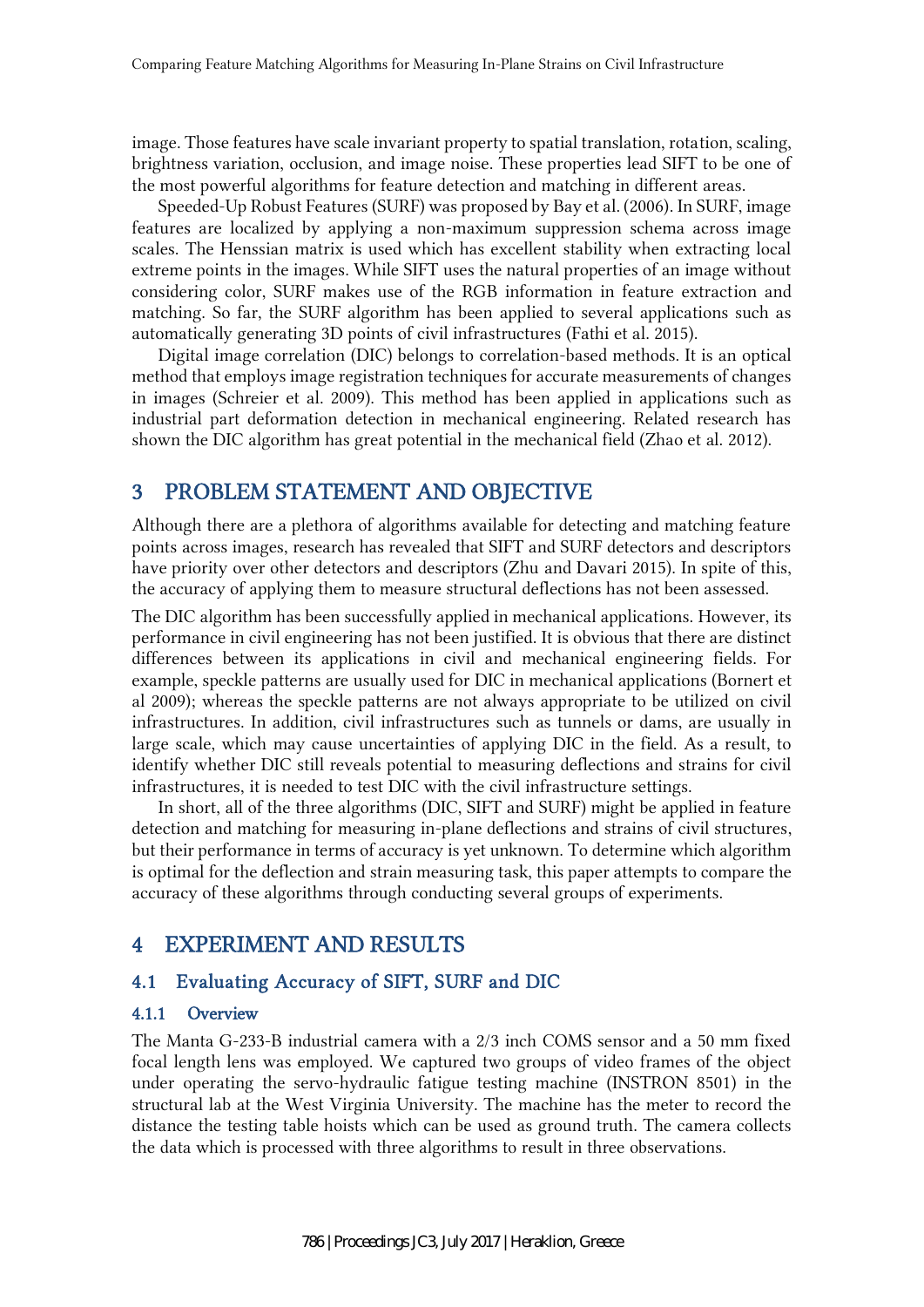image. Those features have scale invariant property to spatial translation, rotation, scaling, brightness variation, occlusion, and image noise. These properties lead SIFT to be one of the most powerful algorithms for feature detection and matching in different areas.

Speeded-Up Robust Features (SURF) was proposed by Bay et al. (2006). In SURF, image features are localized by applying a non-maximum suppression schema across image scales. The Henssian matrix is used which has excellent stability when extracting local extreme points in the images. While SIFT uses the natural properties of an image without considering color, SURF makes use of the RGB information in feature extraction and matching. So far, the SURF algorithm has been applied to several applications such as automatically generating 3D points of civil infrastructures (Fathi et al. 2015).

Digital image correlation (DIC) belongs to correlation-based methods. It is an optical method that employs image registration techniques for accurate measurements of changes in images (Schreier et al. 2009). This method has been applied in applications such as industrial part deformation detection in mechanical engineering. Related research has shown the DIC algorithm has great potential in the mechanical field (Zhao et al. 2012).

# 3 PROBLEM STATEMENT AND OBJECTIVE

Although there are a plethora of algorithms available for detecting and matching feature points across images, research has revealed that SIFT and SURF detectors and descriptors have priority over other detectors and descriptors (Zhu and Davari 2015). In spite of this, the accuracy of applying them to measure structural deflections has not been assessed.

The DIC algorithm has been successfully applied in mechanical applications. However, its performance in civil engineering has not been justified. It is obvious that there are distinct differences between its applications in civil and mechanical engineering fields. For example, speckle patterns are usually used for DIC in mechanical applications (Bornert et al 2009); whereas the speckle patterns are not always appropriate to be utilized on civil infrastructures. In addition, civil infrastructures such as tunnels or dams, are usually in large scale, which may cause uncertainties of applying DIC in the field. As a result, to identify whether DIC still reveals potential to measuring deflections and strains for civil infrastructures, it is needed to test DIC with the civil infrastructure settings.

In short, all of the three algorithms (DIC, SIFT and SURF) might be applied in feature detection and matching for measuring in-plane deflections and strains of civil structures, but their performance in terms of accuracy is yet unknown. To determine which algorithm is optimal for the deflection and strain measuring task, this paper attempts to compare the accuracy of these algorithms through conducting several groups of experiments.

# 4 EXPERIMENT AND RESULTS

### 4.1 Evaluating Accuracy of SIFT, SURF and DIC

#### 4.1.1 Overview

The Manta G-233-B industrial camera with a 2/3 inch COMS sensor and a 50 mm fixed focal length lens was employed. We captured two groups of video frames of the object under operating the servo-hydraulic fatigue testing machine (INSTRON 8501) in the structural lab at the West Virginia University. The machine has the meter to record the distance the testing table hoists which can be used as ground truth. The camera collects the data which is processed with three algorithms to result in three observations.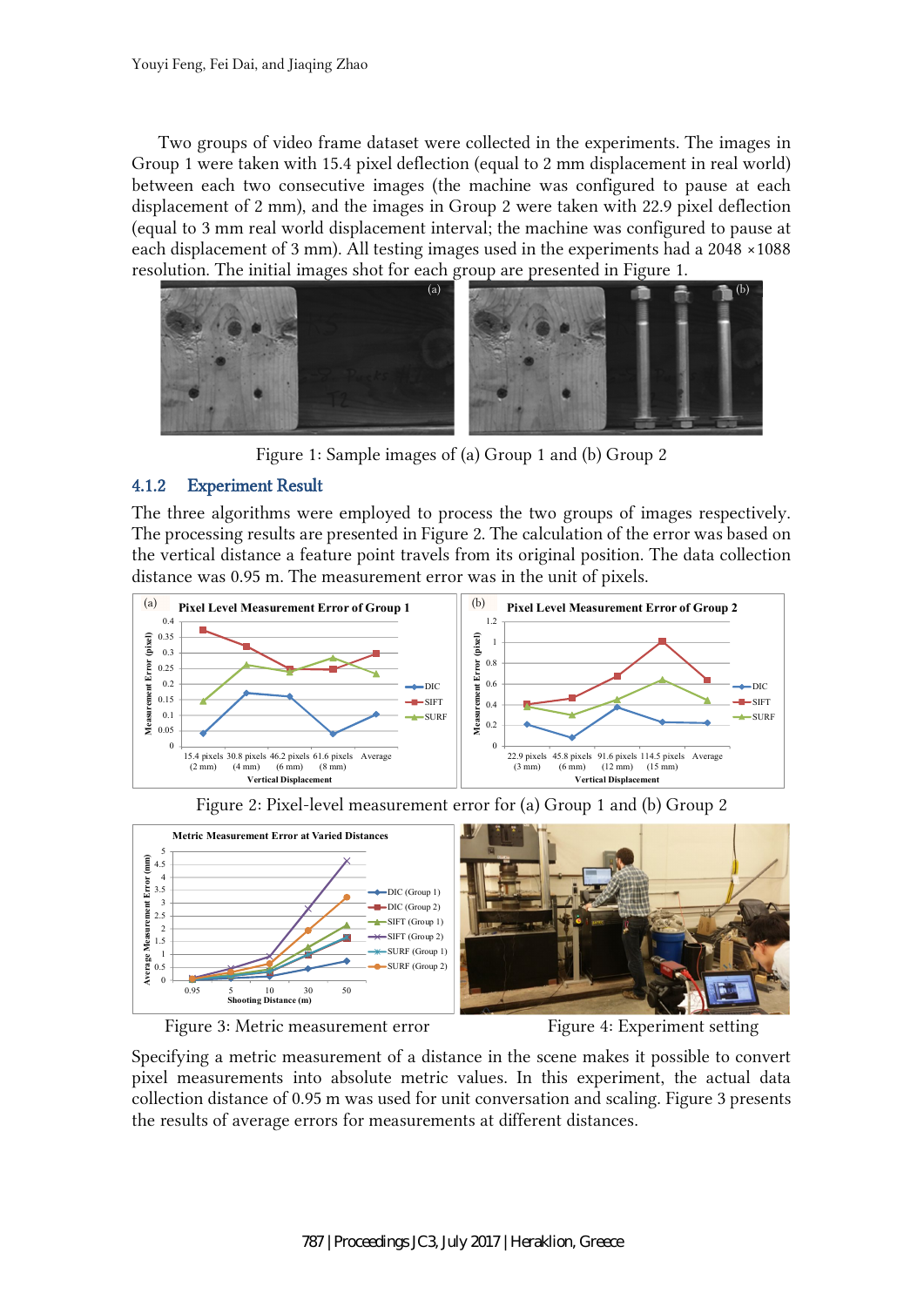Two groups of video frame dataset were collected in the experiments. The images in Group 1 were taken with 15.4 pixel deflection (equal to 2 mm displacement in real world) between each two consecutive images (the machine was configured to pause at each displacement of 2 mm), and the images in Group 2 were taken with 22.9 pixel deflection (equal to 3 mm real world displacement interval; the machine was configured to pause at each displacement of 3 mm). All testing images used in the experiments had a 2048 ×1088 resolution. The initial images shot for each group are presented in Figure 1.



Figure 1: Sample images of (a) Group 1 and (b) Group 2

#### 4.1.2 Experiment Result

The three algorithms were employed to process the two groups of images respectively. The processing results are presented in Figure 2. The calculation of the error was based on the vertical distance a feature point travels from its original position. The data collection distance was 0.95 m. The measurement error was in the unit of pixels.



Figure 2: Pixel-level measurement error for (a) Group 1 and (b) Group 2





Specifying a metric measurement of a distance in the scene makes it possible to convert pixel measurements into absolute metric values. In this experiment, the actual data collection distance of 0.95 m was used for unit conversation and scaling. Figure 3 presents the results of average errors for measurements at different distances.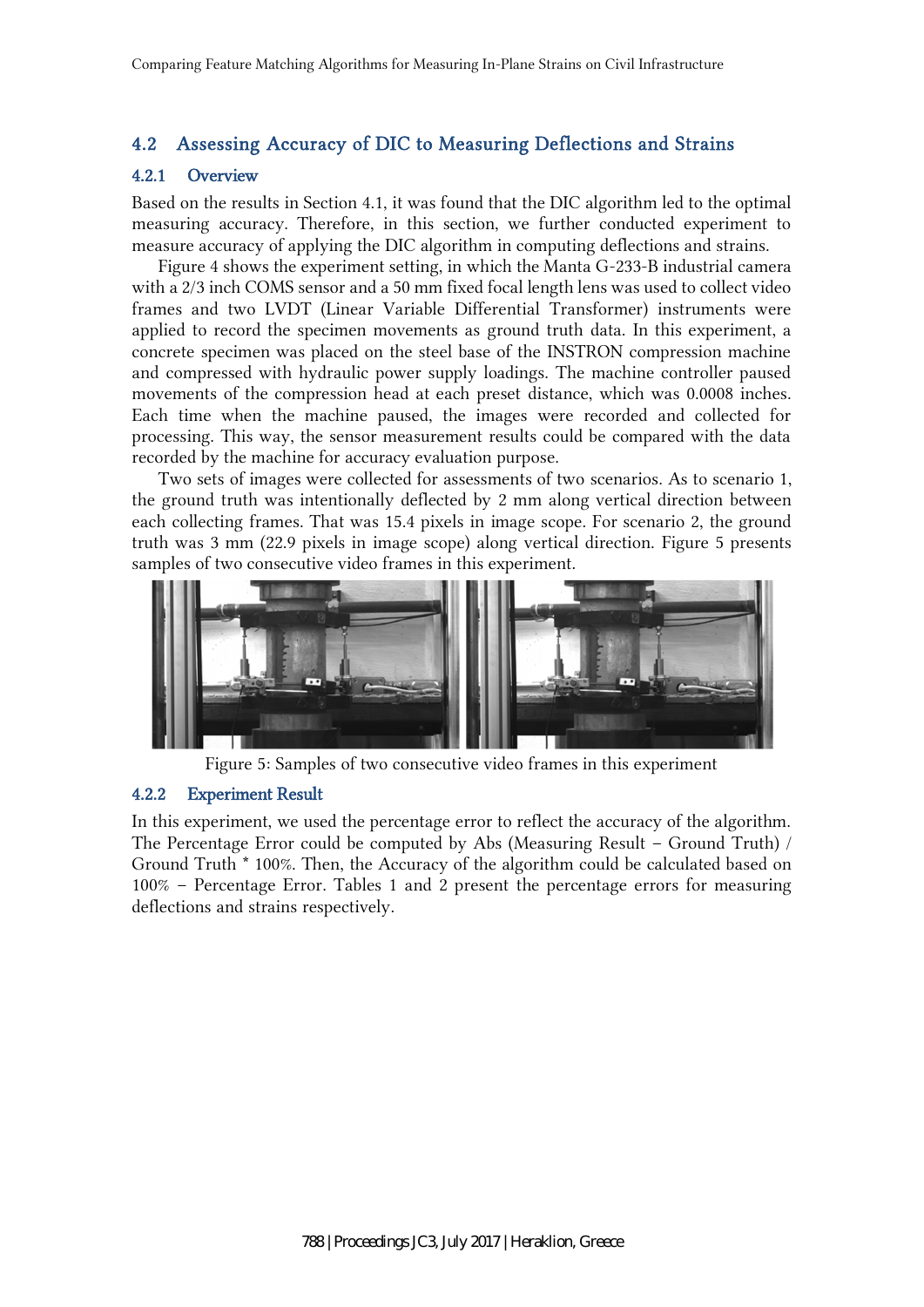# 4.2 Assessing Accuracy of DIC to Measuring Deflections and Strains

#### 4.2.1 Overview

Based on the results in Section 4.1, it was found that the DIC algorithm led to the optimal measuring accuracy. Therefore, in this section, we further conducted experiment to measure accuracy of applying the DIC algorithm in computing deflections and strains.

Figure 4 shows the experiment setting, in which the Manta G-233-B industrial camera with a 2/3 inch COMS sensor and a 50 mm fixed focal length lens was used to collect video frames and two LVDT (Linear Variable Differential Transformer) instruments were applied to record the specimen movements as ground truth data. In this experiment, a concrete specimen was placed on the steel base of the INSTRON compression machine and compressed with hydraulic power supply loadings. The machine controller paused movements of the compression head at each preset distance, which was 0.0008 inches. Each time when the machine paused, the images were recorded and collected for processing. This way, the sensor measurement results could be compared with the data recorded by the machine for accuracy evaluation purpose.

Two sets of images were collected for assessments of two scenarios. As to scenario 1, the ground truth was intentionally deflected by 2 mm along vertical direction between each collecting frames. That was 15.4 pixels in image scope. For scenario 2, the ground truth was 3 mm (22.9 pixels in image scope) along vertical direction. Figure 5 presents samples of two consecutive video frames in this experiment.



Figure 5: Samples of two consecutive video frames in this experiment

#### 4.2.2 Experiment Result

In this experiment, we used the percentage error to reflect the accuracy of the algorithm. The Percentage Error could be computed by Abs (Measuring Result – Ground Truth) / Ground Truth \* 100%. Then, the Accuracy of the algorithm could be calculated based on 100% – Percentage Error. Tables 1 and 2 present the percentage errors for measuring deflections and strains respectively.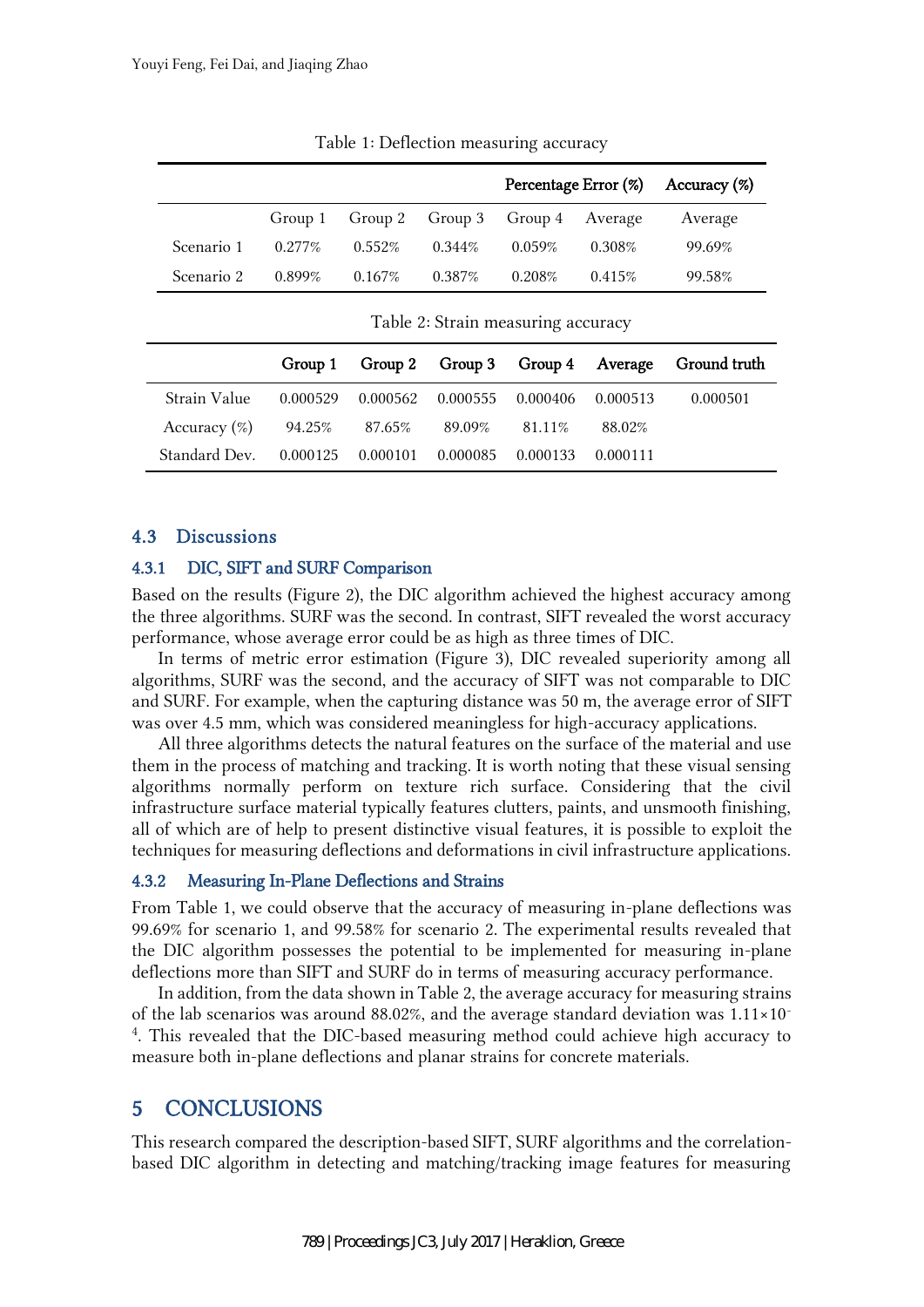|            |           |           |           | Percentage Error (%)                    |           | Accuracy (%) |
|------------|-----------|-----------|-----------|-----------------------------------------|-----------|--------------|
|            |           |           |           | Group 1 Group 2 Group 3 Group 4 Average |           | Average      |
| Scenario 1 | $0.277\%$ | $0.552\%$ | $0.344\%$ | 0.059%                                  | $0.308\%$ | 99.69%       |
| Scenario 2 | $0.899\%$ | $0.167\%$ | $0.387\%$ | 0.208\%                                 | 0.415%    | 99.58%       |

Table 1: Deflection measuring accuracy

Table 2: Strain measuring accuracy

|                                             |                              |                                                        |          |          | Group 1 Group 2 Group 3 Group 4 Average Ground truth |
|---------------------------------------------|------------------------------|--------------------------------------------------------|----------|----------|------------------------------------------------------|
| Strain Value                                |                              | $0.000529$ $0.000562$ $0.000555$ $0.000406$ $0.000513$ |          |          | 0.000501                                             |
| Accuracy $(\%)$ 94.25% 87.65% 89.09% 81.11% |                              |                                                        |          | 88.02%   |                                                      |
| Standard Dev.                               | 0.000125  0.000101  0.000085 |                                                        | 0.000133 | 0.000111 |                                                      |

#### 4.3 Discussions

#### 4.3.1 DIC, SIFT and SURF Comparison

Based on the results (Figure 2), the DIC algorithm achieved the highest accuracy among the three algorithms. SURF was the second. In contrast, SIFT revealed the worst accuracy performance, whose average error could be as high as three times of DIC.

In terms of metric error estimation (Figure 3), DIC revealed superiority among all algorithms, SURF was the second, and the accuracy of SIFT was not comparable to DIC and SURF. For example, when the capturing distance was 50 m, the average error of SIFT was over 4.5 mm, which was considered meaningless for high-accuracy applications.

All three algorithms detects the natural features on the surface of the material and use them in the process of matching and tracking. It is worth noting that these visual sensing algorithms normally perform on texture rich surface. Considering that the civil infrastructure surface material typically features clutters, paints, and unsmooth finishing, all of which are of help to present distinctive visual features, it is possible to exploit the techniques for measuring deflections and deformations in civil infrastructure applications.

#### 4.3.2 Measuring In-Plane Deflections and Strains

From Table 1, we could observe that the accuracy of measuring in-plane deflections was 99.69% for scenario 1, and 99.58% for scenario 2. The experimental results revealed that the DIC algorithm possesses the potential to be implemented for measuring in-plane deflections more than SIFT and SURF do in terms of measuring accuracy performance.

In addition, from the data shown in Table 2, the average accuracy for measuring strains of the lab scenarios was around 88.02%, and the average standard deviation was  $1.11 \times 10^{-7}$ 4 . This revealed that the DIC-based measuring method could achieve high accuracy to measure both in-plane deflections and planar strains for concrete materials.

# 5 CONCLUSIONS

This research compared the description-based SIFT, SURF algorithms and the correlationbased DIC algorithm in detecting and matching/tracking image features for measuring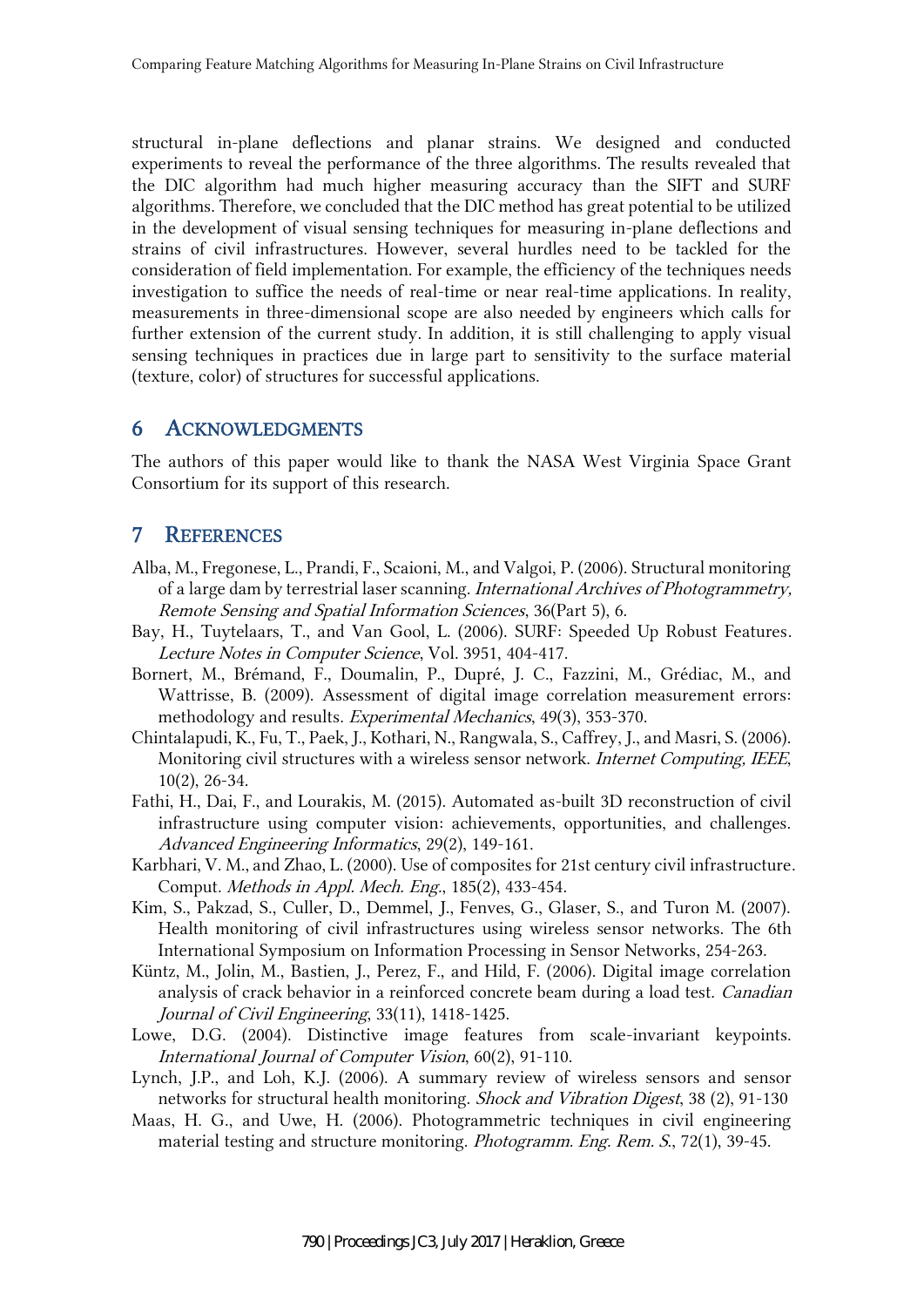structural in-plane deflections and planar strains. We designed and conducted experiments to reveal the performance of the three algorithms. The results revealed that the DIC algorithm had much higher measuring accuracy than the SIFT and SURF algorithms. Therefore, we concluded that the DIC method has great potential to be utilized in the development of visual sensing techniques for measuring in-plane deflections and strains of civil infrastructures. However, several hurdles need to be tackled for the consideration of field implementation. For example, the efficiency of the techniques needs investigation to suffice the needs of real-time or near real-time applications. In reality, measurements in three-dimensional scope are also needed by engineers which calls for further extension of the current study. In addition, it is still challenging to apply visual sensing techniques in practices due in large part to sensitivity to the surface material (texture, color) of structures for successful applications.

#### 6 ACKNOWLEDGMENTS

The authors of this paper would like to thank the NASA West Virginia Space Grant Consortium for its support of this research.

## 7 REFERENCES

- Alba, M., Fregonese, L., Prandi, F., Scaioni, M., and Valgoi, P. (2006). Structural monitoring of a large dam by terrestrial laser scanning. International Archives of Photogrammetry, Remote Sensing and Spatial Information Sciences, 36(Part 5), 6.
- Bay, H., Tuytelaars, T., and Van Gool, L. (2006). SURF: Speeded Up Robust Features. Lecture Notes in Computer Science, Vol. 3951, 404-417.
- Bornert, M., Brémand, F., Doumalin, P., Dupré, J. C., Fazzini, M., Grédiac, M., and Wattrisse, B. (2009). Assessment of digital image correlation measurement errors: methodology and results. Experimental Mechanics, 49(3), 353-370.
- Chintalapudi, K., Fu, T., Paek, J., Kothari, N., Rangwala, S., Caffrey, J., and Masri, S. (2006). Monitoring civil structures with a wireless sensor network. Internet Computing, IEEE, 10(2), 26-34.
- Fathi, H., Dai, F., and Lourakis, M. (2015). Automated as-built 3D reconstruction of civil infrastructure using computer vision: achievements, opportunities, and challenges. Advanced Engineering Informatics, 29(2), 149-161.
- Karbhari, V. M., and Zhao, L. (2000). Use of composites for 21st century civil infrastructure. Comput. Methods in Appl. Mech. Eng., 185(2), 433-454.
- Kim, S., Pakzad, S., Culler, D., Demmel, J., Fenves, G., Glaser, S., and Turon M. (2007). Health monitoring of civil infrastructures using wireless sensor networks. The 6th International Symposium on Information Processing in Sensor Networks, 254-263.
- Küntz, M., Jolin, M., Bastien, J., Perez, F., and Hild, F. (2006). Digital image correlation analysis of crack behavior in a reinforced concrete beam during a load test. Canadian Journal of Civil Engineering, 33(11), 1418-1425.
- Lowe, D.G. (2004). Distinctive image features from scale-invariant keypoints. International Journal of Computer Vision, 60(2), 91-110.
- Lynch, J.P., and Loh, K.J. (2006). A summary review of wireless sensors and sensor networks for structural health monitoring. Shock and Vibration Digest, 38 (2), 91-130
- Maas, H. G., and Uwe, H. (2006). Photogrammetric techniques in civil engineering material testing and structure monitoring. Photogramm. Eng. Rem. <sup>S</sup>., 72(1), 39-45.